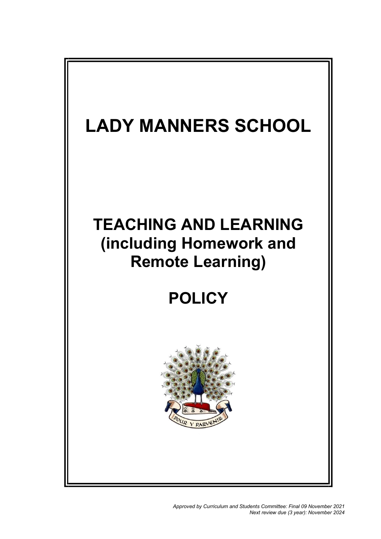

Approved by Curriculum and Students Committee: Final 09 November 2021 Next review due (3 year): November 2024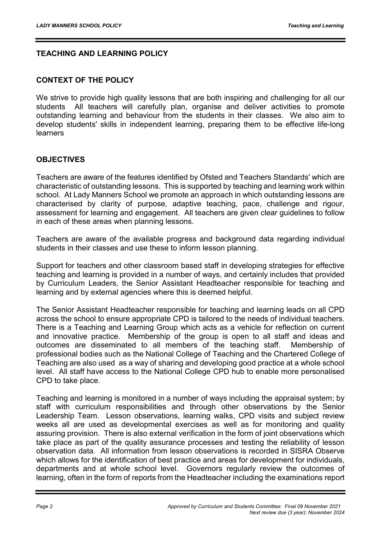# TEACHING AND LEARNING POLICY

#### CONTEXT OF THE POLICY

We strive to provide high quality lessons that are both inspiring and challenging for all our students All teachers will carefully plan, organise and deliver activities to promote outstanding learning and behaviour from the students in their classes. We also aim to develop students' skills in independent learning, preparing them to be effective life-long learners

#### **OBJECTIVES**

Teachers are aware of the features identified by Ofsted and Teachers Standards' which are characteristic of outstanding lessons. This is supported by teaching and learning work within school. At Lady Manners School we promote an approach in which outstanding lessons are characterised by clarity of purpose, adaptive teaching, pace, challenge and rigour, assessment for learning and engagement. All teachers are given clear guidelines to follow in each of these areas when planning lessons.

Teachers are aware of the available progress and background data regarding individual students in their classes and use these to inform lesson planning.

Support for teachers and other classroom based staff in developing strategies for effective teaching and learning is provided in a number of ways, and certainly includes that provided by Curriculum Leaders, the Senior Assistant Headteacher responsible for teaching and learning and by external agencies where this is deemed helpful.

The Senior Assistant Headteacher responsible for teaching and learning leads on all CPD across the school to ensure appropriate CPD is tailored to the needs of individual teachers. There is a Teaching and Learning Group which acts as a vehicle for reflection on current and innovative practice. Membership of the group is open to all staff and ideas and outcomes are disseminated to all members of the teaching staff. Membership of professional bodies such as the National College of Teaching and the Chartered College of Teaching are also used as a way of sharing and developing good practice at a whole school level. All staff have access to the National College CPD hub to enable more personalised CPD to take place.

Teaching and learning is monitored in a number of ways including the appraisal system; by staff with curriculum responsibilities and through other observations by the Senior Leadership Team. Lesson observations, learning walks, CPD visits and subject review weeks all are used as developmental exercises as well as for monitoring and quality assuring provision. There is also external verification in the form of joint observations which take place as part of the quality assurance processes and testing the reliability of lesson observation data. All information from lesson observations is recorded in SISRA Observe which allows for the identification of best practice and areas for development for individuals, departments and at whole school level. Governors regularly review the outcomes of learning, often in the form of reports from the Headteacher including the examinations report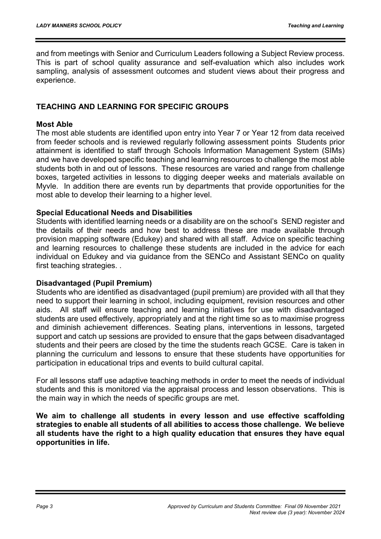and from meetings with Senior and Curriculum Leaders following a Subject Review process. This is part of school quality assurance and self-evaluation which also includes work sampling, analysis of assessment outcomes and student views about their progress and experience.

#### TEACHING AND LEARNING FOR SPECIFIC GROUPS

#### Most Able

The most able students are identified upon entry into Year 7 or Year 12 from data received from feeder schools and is reviewed regularly following assessment points Students prior attainment is identified to staff through Schools Information Management System (SIMs) and we have developed specific teaching and learning resources to challenge the most able students both in and out of lessons. These resources are varied and range from challenge boxes, targeted activities in lessons to digging deeper weeks and materials available on Myvle. In addition there are events run by departments that provide opportunities for the most able to develop their learning to a higher level.

#### Special Educational Needs and Disabilities

Students with identified learning needs or a disability are on the school's SEND register and the details of their needs and how best to address these are made available through provision mapping software (Edukey) and shared with all staff. Advice on specific teaching and learning resources to challenge these students are included in the advice for each individual on Edukey and via guidance from the SENCo and Assistant SENCo on quality first teaching strategies. .

#### Disadvantaged (Pupil Premium)

Students who are identified as disadvantaged (pupil premium) are provided with all that they need to support their learning in school, including equipment, revision resources and other aids. All staff will ensure teaching and learning initiatives for use with disadvantaged students are used effectively, appropriately and at the right time so as to maximise progress and diminish achievement differences. Seating plans, interventions in lessons, targeted support and catch up sessions are provided to ensure that the gaps between disadvantaged students and their peers are closed by the time the students reach GCSE. Care is taken in planning the curriculum and lessons to ensure that these students have opportunities for participation in educational trips and events to build cultural capital.

For all lessons staff use adaptive teaching methods in order to meet the needs of individual students and this is monitored via the appraisal process and lesson observations. This is the main way in which the needs of specific groups are met.

We aim to challenge all students in every lesson and use effective scaffolding strategies to enable all students of all abilities to access those challenge. We believe all students have the right to a high quality education that ensures they have equal opportunities in life.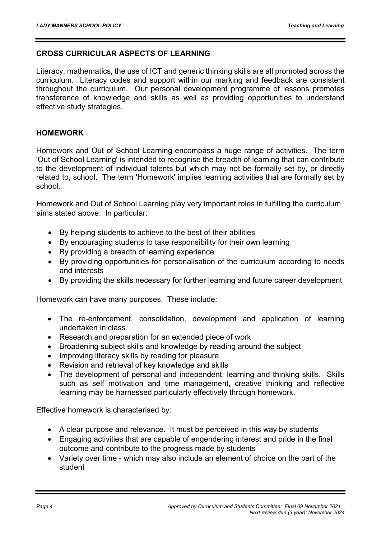#### CROSS CURRICULAR ASPECTS OF LEARNING

Literacy, mathematics, the use of ICT and generic thinking skills are all promoted across the curriculum. Literacy codes and support within our marking and feedback are consistent throughout the curriculum. Our personal development programme of lessons promotes transference of knowledge and skills as well as providing opportunities to understand effective study strategies.

#### HOMEWORK

Homework and Out of School Learning encompass a huge range of activities. The term 'Out of School Learning' is intended to recognise the breadth of learning that can contribute to the development of individual talents but which may not be formally set by, or directly related to, school. The term 'Homework' implies learning activities that are formally set by school.

Homework and Out of School Learning play very important roles in fulfilling the curriculum aims stated above. In particular:

- By helping students to achieve to the best of their abilities
- By encouraging students to take responsibility for their own learning
- By providing a breadth of learning experience
- By providing opportunities for personalisation of the curriculum according to needs and interests
- By providing the skills necessary for further learning and future career development

Homework can have many purposes. These include:

- The re-enforcement, consolidation, development and application of learning undertaken in class
- Research and preparation for an extended piece of work
- Broadening subject skills and knowledge by reading around the subject
- Improving literacy skills by reading for pleasure
- Revision and retrieval of key knowledge and skills
- The development of personal and independent, learning and thinking skills. Skills such as self motivation and time management, creative thinking and reflective learning may be harnessed particularly effectively through homework.

Effective homework is characterised by:

- A clear purpose and relevance. It must be perceived in this way by students
- Engaging activities that are capable of engendering interest and pride in the final outcome and contribute to the progress made by students
- Variety over time which may also include an element of choice on the part of the student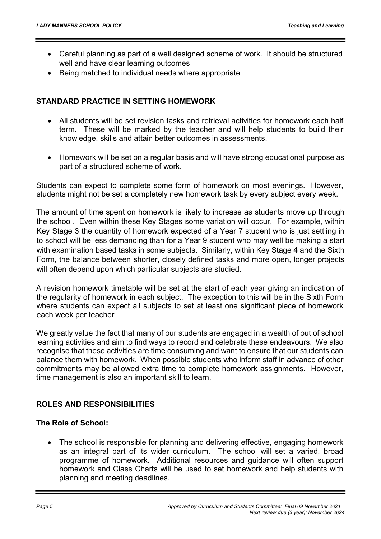- Careful planning as part of a well designed scheme of work. It should be structured well and have clear learning outcomes
- Being matched to individual needs where appropriate

#### STANDARD PRACTICE IN SETTING HOMEWORK

- All students will be set revision tasks and retrieval activities for homework each half term. These will be marked by the teacher and will help students to build their knowledge, skills and attain better outcomes in assessments.
- Homework will be set on a regular basis and will have strong educational purpose as part of a structured scheme of work.

Students can expect to complete some form of homework on most evenings. However, students might not be set a completely new homework task by every subject every week.

The amount of time spent on homework is likely to increase as students move up through the school. Even within these Key Stages some variation will occur. For example, within Key Stage 3 the quantity of homework expected of a Year 7 student who is just settling in to school will be less demanding than for a Year 9 student who may well be making a start with examination based tasks in some subjects. Similarly, within Key Stage 4 and the Sixth Form, the balance between shorter, closely defined tasks and more open, longer projects will often depend upon which particular subjects are studied.

A revision homework timetable will be set at the start of each year giving an indication of the regularity of homework in each subject. The exception to this will be in the Sixth Form where students can expect all subjects to set at least one significant piece of homework each week per teacher

We greatly value the fact that many of our students are engaged in a wealth of out of school learning activities and aim to find ways to record and celebrate these endeavours. We also recognise that these activities are time consuming and want to ensure that our students can balance them with homework. When possible students who inform staff in advance of other commitments may be allowed extra time to complete homework assignments. However, time management is also an important skill to learn.

#### ROLES AND RESPONSIBILITIES

#### The Role of School:

 The school is responsible for planning and delivering effective, engaging homework as an integral part of its wider curriculum. The school will set a varied, broad programme of homework. Additional resources and guidance will often support homework and Class Charts will be used to set homework and help students with planning and meeting deadlines.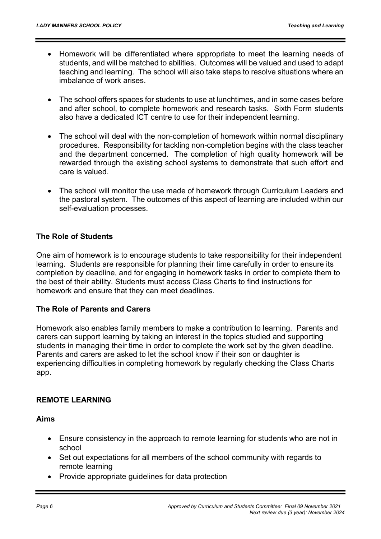- Homework will be differentiated where appropriate to meet the learning needs of students, and will be matched to abilities. Outcomes will be valued and used to adapt teaching and learning. The school will also take steps to resolve situations where an imbalance of work arises.
- The school offers spaces for students to use at lunchtimes, and in some cases before and after school, to complete homework and research tasks. Sixth Form students also have a dedicated ICT centre to use for their independent learning.
- The school will deal with the non-completion of homework within normal disciplinary procedures. Responsibility for tackling non-completion begins with the class teacher and the department concerned. The completion of high quality homework will be rewarded through the existing school systems to demonstrate that such effort and care is valued.
- The school will monitor the use made of homework through Curriculum Leaders and the pastoral system. The outcomes of this aspect of learning are included within our self-evaluation processes.

# The Role of Students

One aim of homework is to encourage students to take responsibility for their independent learning. Students are responsible for planning their time carefully in order to ensure its completion by deadline, and for engaging in homework tasks in order to complete them to the best of their ability. Students must access Class Charts to find instructions for homework and ensure that they can meet deadlines.

#### The Role of Parents and Carers

Homework also enables family members to make a contribution to learning. Parents and carers can support learning by taking an interest in the topics studied and supporting students in managing their time in order to complete the work set by the given deadline. Parents and carers are asked to let the school know if their son or daughter is experiencing difficulties in completing homework by regularly checking the Class Charts app.

#### REMOTE LEARNING

Aims

- Ensure consistency in the approach to remote learning for students who are not in school
- Set out expectations for all members of the school community with regards to remote learning
- Provide appropriate guidelines for data protection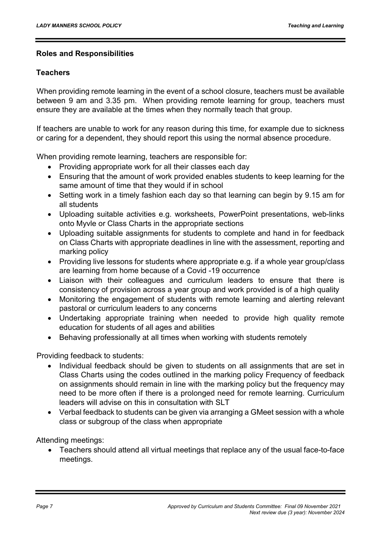#### Roles and Responsibilities

#### **Teachers**

When providing remote learning in the event of a school closure, teachers must be available between 9 am and 3.35 pm. When providing remote learning for group, teachers must ensure they are available at the times when they normally teach that group.

If teachers are unable to work for any reason during this time, for example due to sickness or caring for a dependent, they should report this using the normal absence procedure.

When providing remote learning, teachers are responsible for:

- Providing appropriate work for all their classes each day
- Ensuring that the amount of work provided enables students to keep learning for the same amount of time that they would if in school
- Setting work in a timely fashion each day so that learning can begin by 9.15 am for all students
- Uploading suitable activities e.g. worksheets, PowerPoint presentations, web-links onto Myvle or Class Charts in the appropriate sections
- Uploading suitable assignments for students to complete and hand in for feedback on Class Charts with appropriate deadlines in line with the assessment, reporting and marking policy
- Providing live lessons for students where appropriate e.g. if a whole year group/class are learning from home because of a Covid -19 occurrence
- Liaison with their colleagues and curriculum leaders to ensure that there is consistency of provision across a year group and work provided is of a high quality
- Monitoring the engagement of students with remote learning and alerting relevant pastoral or curriculum leaders to any concerns
- Undertaking appropriate training when needed to provide high quality remote education for students of all ages and abilities
- Behaving professionally at all times when working with students remotely

Providing feedback to students:

- Individual feedback should be given to students on all assignments that are set in Class Charts using the codes outlined in the marking policy Frequency of feedback on assignments should remain in line with the marking policy but the frequency may need to be more often if there is a prolonged need for remote learning. Curriculum leaders will advise on this in consultation with SLT
- Verbal feedback to students can be given via arranging a GMeet session with a whole class or subgroup of the class when appropriate

Attending meetings:

 Teachers should attend all virtual meetings that replace any of the usual face-to-face meetings.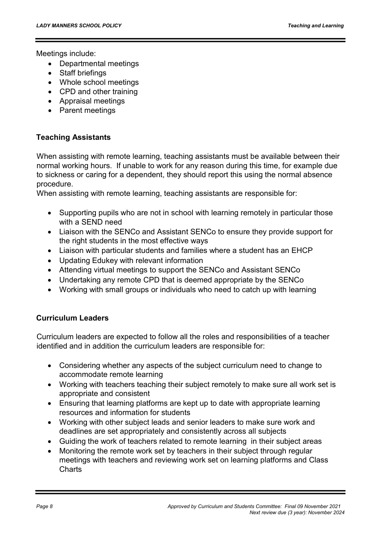Meetings include:

- Departmental meetings
- Staff briefings
- Whole school meetings
- CPD and other training
- Appraisal meetings
- Parent meetings

#### Teaching Assistants

When assisting with remote learning, teaching assistants must be available between their normal working hours. If unable to work for any reason during this time, for example due to sickness or caring for a dependent, they should report this using the normal absence procedure.

When assisting with remote learning, teaching assistants are responsible for:

- Supporting pupils who are not in school with learning remotely in particular those with a SEND need
- Liaison with the SENCo and Assistant SENCo to ensure they provide support for the right students in the most effective ways
- Liaison with particular students and families where a student has an EHCP
- Updating Edukey with relevant information
- Attending virtual meetings to support the SENCo and Assistant SENCo
- Undertaking any remote CPD that is deemed appropriate by the SENCo
- Working with small groups or individuals who need to catch up with learning

#### Curriculum Leaders

Curriculum leaders are expected to follow all the roles and responsibilities of a teacher identified and in addition the curriculum leaders are responsible for:

- Considering whether any aspects of the subject curriculum need to change to accommodate remote learning
- Working with teachers teaching their subject remotely to make sure all work set is appropriate and consistent
- Ensuring that learning platforms are kept up to date with appropriate learning resources and information for students
- Working with other subject leads and senior leaders to make sure work and deadlines are set appropriately and consistently across all subjects
- Guiding the work of teachers related to remote learning in their subject areas
- Monitoring the remote work set by teachers in their subject through regular meetings with teachers and reviewing work set on learning platforms and Class Charts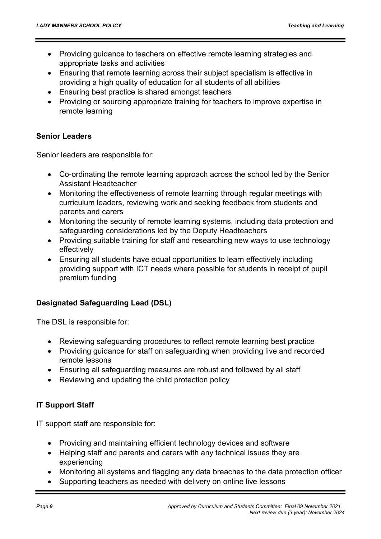- Providing guidance to teachers on effective remote learning strategies and appropriate tasks and activities
- Ensuring that remote learning across their subject specialism is effective in providing a high quality of education for all students of all abilities
- Ensuring best practice is shared amongst teachers
- Providing or sourcing appropriate training for teachers to improve expertise in remote learning

#### Senior Leaders

Senior leaders are responsible for:

- Co-ordinating the remote learning approach across the school led by the Senior Assistant Headteacher
- Monitoring the effectiveness of remote learning through regular meetings with curriculum leaders, reviewing work and seeking feedback from students and parents and carers
- Monitoring the security of remote learning systems, including data protection and safeguarding considerations led by the Deputy Headteachers
- Providing suitable training for staff and researching new ways to use technology effectively
- Ensuring all students have equal opportunities to learn effectively including providing support with ICT needs where possible for students in receipt of pupil premium funding

#### Designated Safeguarding Lead (DSL)

The DSL is responsible for:

- Reviewing safeguarding procedures to reflect remote learning best practice
- Providing guidance for staff on safeguarding when providing live and recorded remote lessons
- Ensuring all safeguarding measures are robust and followed by all staff
- Reviewing and updating the child protection policy

# IT Support Staff

IT support staff are responsible for:

- Providing and maintaining efficient technology devices and software
- Helping staff and parents and carers with any technical issues they are experiencing
- Monitoring all systems and flagging any data breaches to the data protection officer
- Supporting teachers as needed with delivery on online live lessons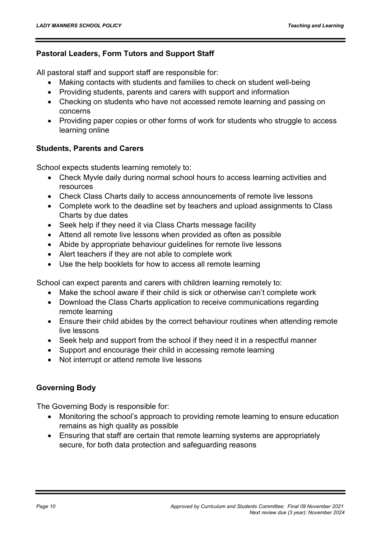#### Pastoral Leaders, Form Tutors and Support Staff

All pastoral staff and support staff are responsible for:

- Making contacts with students and families to check on student well-being
- Providing students, parents and carers with support and information
- Checking on students who have not accessed remote learning and passing on concerns
- Providing paper copies or other forms of work for students who struggle to access learning online

# Students, Parents and Carers

School expects students learning remotely to:

- Check Myvle daily during normal school hours to access learning activities and resources
- Check Class Charts daily to access announcements of remote live lessons
- Complete work to the deadline set by teachers and upload assignments to Class Charts by due dates
- Seek help if they need it via Class Charts message facility
- Attend all remote live lessons when provided as often as possible
- Abide by appropriate behaviour guidelines for remote live lessons
- Alert teachers if they are not able to complete work
- Use the help booklets for how to access all remote learning

School can expect parents and carers with children learning remotely to:

- Make the school aware if their child is sick or otherwise can't complete work
- Download the Class Charts application to receive communications regarding remote learning
- Ensure their child abides by the correct behaviour routines when attending remote live lessons
- Seek help and support from the school if they need it in a respectful manner
- Support and encourage their child in accessing remote learning
- Not interrupt or attend remote live lessons

# Governing Body

The Governing Body is responsible for:

- Monitoring the school's approach to providing remote learning to ensure education remains as high quality as possible
- Ensuring that staff are certain that remote learning systems are appropriately secure, for both data protection and safeguarding reasons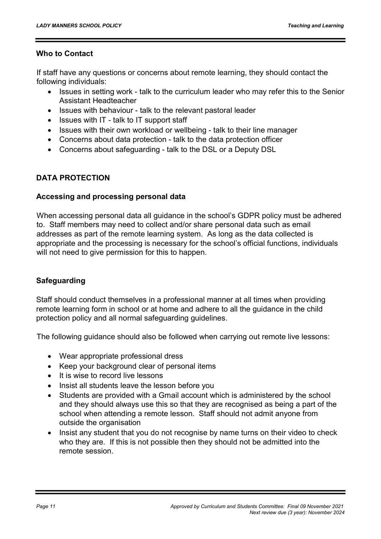#### Who to Contact

If staff have any questions or concerns about remote learning, they should contact the following individuals:

- Issues in setting work talk to the curriculum leader who may refer this to the Senior Assistant Headteacher
- Issues with behaviour talk to the relevant pastoral leader
- Issues with IT talk to IT support staff
- Issues with their own workload or wellbeing talk to their line manager
- Concerns about data protection talk to the data protection officer
- Concerns about safeguarding talk to the DSL or a Deputy DSL

#### DATA PROTECTION

#### Accessing and processing personal data

When accessing personal data all guidance in the school's GDPR policy must be adhered to. Staff members may need to collect and/or share personal data such as email addresses as part of the remote learning system. As long as the data collected is appropriate and the processing is necessary for the school's official functions, individuals will not need to give permission for this to happen.

#### Safeguarding

Staff should conduct themselves in a professional manner at all times when providing remote learning form in school or at home and adhere to all the guidance in the child protection policy and all normal safeguarding guidelines.

The following guidance should also be followed when carrying out remote live lessons:

- Wear appropriate professional dress
- Keep your background clear of personal items
- It is wise to record live lessons
- Insist all students leave the lesson before you
- Students are provided with a Gmail account which is administered by the school and they should always use this so that they are recognised as being a part of the school when attending a remote lesson. Staff should not admit anyone from outside the organisation
- Insist any student that you do not recognise by name turns on their video to check who they are. If this is not possible then they should not be admitted into the remote session.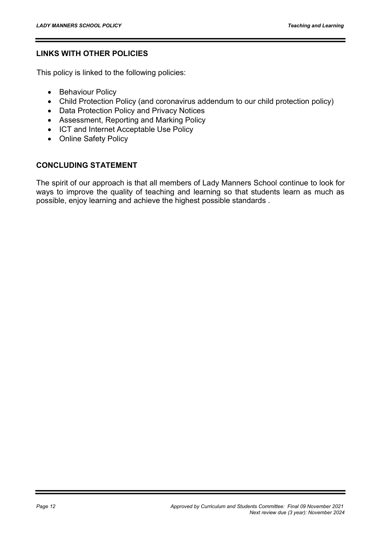#### LINKS WITH OTHER POLICIES

This policy is linked to the following policies:

- Behaviour Policy
- Child Protection Policy (and coronavirus addendum to our child protection policy)
- Data Protection Policy and Privacy Notices
- Assessment, Reporting and Marking Policy
- ICT and Internet Acceptable Use Policy
- Online Safety Policy

#### CONCLUDING STATEMENT

The spirit of our approach is that all members of Lady Manners School continue to look for ways to improve the quality of teaching and learning so that students learn as much as possible, enjoy learning and achieve the highest possible standards .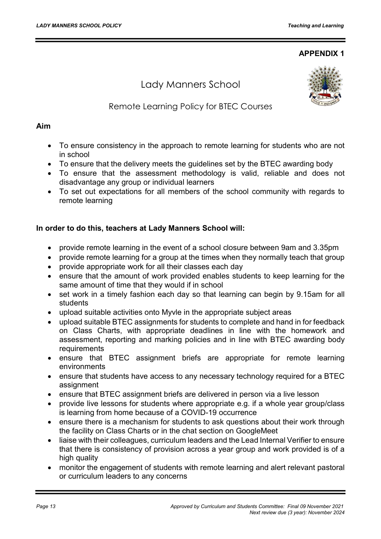#### APPENDIX 1

# Lady Manners School



# Remote Learning Policy for BTEC Courses

#### Aim

- To ensure consistency in the approach to remote learning for students who are not in school
- To ensure that the delivery meets the guidelines set by the BTEC awarding body
- To ensure that the assessment methodology is valid, reliable and does not disadvantage any group or individual learners
- To set out expectations for all members of the school community with regards to remote learning

#### In order to do this, teachers at Lady Manners School will:

- provide remote learning in the event of a school closure between 9am and 3.35pm
- provide remote learning for a group at the times when they normally teach that group
- provide appropriate work for all their classes each day
- ensure that the amount of work provided enables students to keep learning for the same amount of time that they would if in school
- set work in a timely fashion each day so that learning can begin by 9.15am for all students
- upload suitable activities onto Myvle in the appropriate subject areas
- upload suitable BTEC assignments for students to complete and hand in for feedback on Class Charts, with appropriate deadlines in line with the homework and assessment, reporting and marking policies and in line with BTEC awarding body **requirements**
- ensure that BTEC assignment briefs are appropriate for remote learning environments
- ensure that students have access to any necessary technology required for a BTEC assignment
- ensure that BTEC assignment briefs are delivered in person via a live lesson
- provide live lessons for students where appropriate e.g. if a whole year group/class is learning from home because of a COVID-19 occurrence
- ensure there is a mechanism for students to ask questions about their work through the facility on Class Charts or in the chat section on GoogleMeet
- liaise with their colleagues, curriculum leaders and the Lead Internal Verifier to ensure that there is consistency of provision across a year group and work provided is of a high quality
- monitor the engagement of students with remote learning and alert relevant pastoral or curriculum leaders to any concerns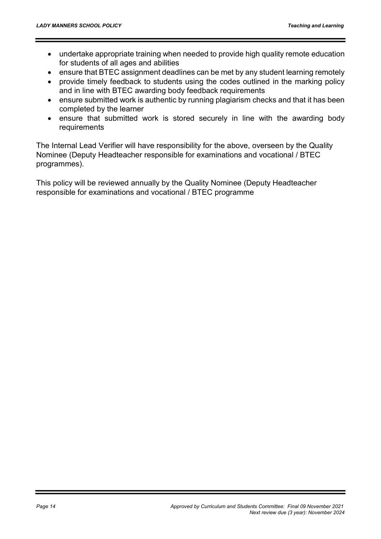- undertake appropriate training when needed to provide high quality remote education for students of all ages and abilities
- ensure that BTEC assignment deadlines can be met by any student learning remotely
- provide timely feedback to students using the codes outlined in the marking policy and in line with BTEC awarding body feedback requirements
- ensure submitted work is authentic by running plagiarism checks and that it has been completed by the learner
- ensure that submitted work is stored securely in line with the awarding body requirements

The Internal Lead Verifier will have responsibility for the above, overseen by the Quality Nominee (Deputy Headteacher responsible for examinations and vocational / BTEC programmes).

This policy will be reviewed annually by the Quality Nominee (Deputy Headteacher responsible for examinations and vocational / BTEC programme